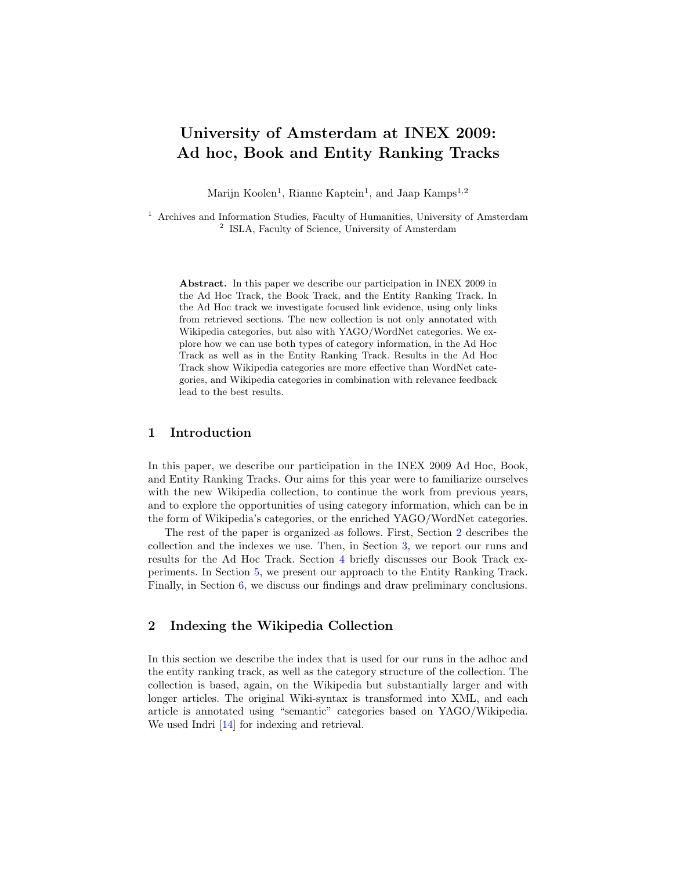# University of Amsterdam at INEX 2009: Ad hoc, Book and Entity Ranking Tracks

Marijn Koolen<sup>1</sup>, Rianne Kaptein<sup>1</sup>, and Jaap Kamps<sup>1,2</sup>

<sup>1</sup> Archives and Information Studies, Faculty of Humanities, University of Amsterdam <sup>2</sup> ISLA, Faculty of Science, University of Amsterdam

Abstract. In this paper we describe our participation in INEX 2009 in the Ad Hoc Track, the Book Track, and the Entity Ranking Track. In the Ad Hoc track we investigate focused link evidence, using only links from retrieved sections. The new collection is not only annotated with Wikipedia categories, but also with YAGO/WordNet categories. We explore how we can use both types of category information, in the Ad Hoc Track as well as in the Entity Ranking Track. Results in the Ad Hoc Track show Wikipedia categories are more effective than WordNet categories, and Wikipedia categories in combination with relevance feedback lead to the best results.

## 1 Introduction

In this paper, we describe our participation in the INEX 2009 Ad Hoc, Book, and Entity Ranking Tracks. Our aims for this year were to familiarize ourselves with the new Wikipedia collection, to continue the work from previous years, and to explore the opportunities of using category information, which can be in the form of Wikipedia's categories, or the enriched YAGO/WordNet categories.

The rest of the paper is organized as follows. First, Section [2](#page-0-0) describes the collection and the indexes we use. Then, in Section [3,](#page-1-0) we report our runs and results for the Ad Hoc Track. Section [4](#page-7-0) briefly discusses our Book Track experiments. In Section [5,](#page-8-0) we present our approach to the Entity Ranking Track. Finally, in Section [6,](#page-11-0) we discuss our findings and draw preliminary conclusions.

## <span id="page-0-0"></span>2 Indexing the Wikipedia Collection

In this section we describe the index that is used for our runs in the adhoc and the entity ranking track, as well as the category structure of the collection. The collection is based, again, on the Wikipedia but substantially larger and with longer articles. The original Wiki-syntax is transformed into XML, and each article is annotated using "semantic" categories based on YAGO/Wikipedia. We used Indri [\[14\]](#page-12-0) for indexing and retrieval.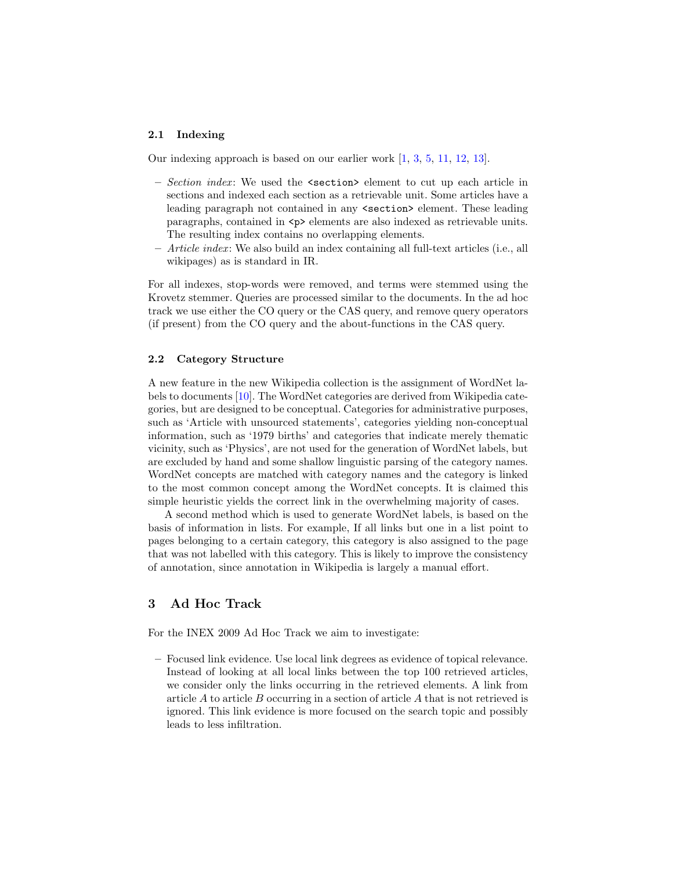#### 2.1 Indexing

Our indexing approach is based on our earlier work [\[1,](#page-11-1) [3,](#page-11-2) [5,](#page-12-1) [11,](#page-12-2) [12,](#page-12-3) [13\]](#page-12-4).

- Section index: We used the  $\leq$  section learned to cut up each article in sections and indexed each section as a retrievable unit. Some articles have a leading paragraph not contained in any <section> element. These leading paragraphs, contained in <p> elements are also indexed as retrievable units. The resulting index contains no overlapping elements.
- Article index : We also build an index containing all full-text articles (i.e., all wikipages) as is standard in IR.

For all indexes, stop-words were removed, and terms were stemmed using the Krovetz stemmer. Queries are processed similar to the documents. In the ad hoc track we use either the CO query or the CAS query, and remove query operators (if present) from the CO query and the about-functions in the CAS query.

#### <span id="page-1-1"></span>2.2 Category Structure

A new feature in the new Wikipedia collection is the assignment of WordNet labels to documents [\[10\]](#page-12-5). The WordNet categories are derived from Wikipedia categories, but are designed to be conceptual. Categories for administrative purposes, such as 'Article with unsourced statements', categories yielding non-conceptual information, such as '1979 births' and categories that indicate merely thematic vicinity, such as 'Physics', are not used for the generation of WordNet labels, but are excluded by hand and some shallow linguistic parsing of the category names. WordNet concepts are matched with category names and the category is linked to the most common concept among the WordNet concepts. It is claimed this simple heuristic yields the correct link in the overwhelming majority of cases.

A second method which is used to generate WordNet labels, is based on the basis of information in lists. For example, If all links but one in a list point to pages belonging to a certain category, this category is also assigned to the page that was not labelled with this category. This is likely to improve the consistency of annotation, since annotation in Wikipedia is largely a manual effort.

# <span id="page-1-0"></span>3 Ad Hoc Track

For the INEX 2009 Ad Hoc Track we aim to investigate:

– Focused link evidence. Use local link degrees as evidence of topical relevance. Instead of looking at all local links between the top 100 retrieved articles, we consider only the links occurring in the retrieved elements. A link from article A to article B occurring in a section of article A that is not retrieved is ignored. This link evidence is more focused on the search topic and possibly leads to less infiltration.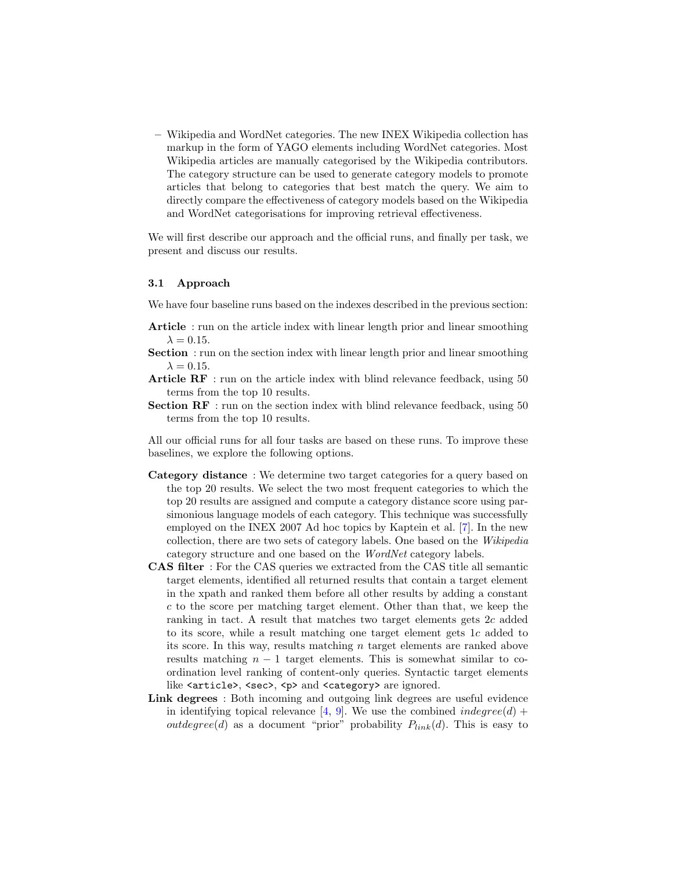– Wikipedia and WordNet categories. The new INEX Wikipedia collection has markup in the form of YAGO elements including WordNet categories. Most Wikipedia articles are manually categorised by the Wikipedia contributors. The category structure can be used to generate category models to promote articles that belong to categories that best match the query. We aim to directly compare the effectiveness of category models based on the Wikipedia and WordNet categorisations for improving retrieval effectiveness.

We will first describe our approach and the official runs, and finally per task, we present and discuss our results.

#### 3.1 Approach

We have four baseline runs based on the indexes described in the previous section:

- Article : run on the article index with linear length prior and linear smoothing  $\lambda = 0.15$ .
- Section : run on the section index with linear length prior and linear smoothing  $\lambda = 0.15$ .
- Article RF : run on the article index with blind relevance feedback, using 50 terms from the top 10 results.
- Section RF : run on the section index with blind relevance feedback, using 50 terms from the top 10 results.

All our official runs for all four tasks are based on these runs. To improve these baselines, we explore the following options.

- Category distance : We determine two target categories for a query based on the top 20 results. We select the two most frequent categories to which the top 20 results are assigned and compute a category distance score using parsimonious language models of each category. This technique was successfully employed on the INEX 2007 Ad hoc topics by Kaptein et al. [\[7\]](#page-12-6). In the new collection, there are two sets of category labels. One based on the Wikipedia category structure and one based on the WordNet category labels.
- CAS filter : For the CAS queries we extracted from the CAS title all semantic target elements, identified all returned results that contain a target element in the xpath and ranked them before all other results by adding a constant c to the score per matching target element. Other than that, we keep the ranking in tact. A result that matches two target elements gets 2c added to its score, while a result matching one target element gets 1c added to its score. In this way, results matching  $n$  target elements are ranked above results matching  $n - 1$  target elements. This is somewhat similar to coordination level ranking of content-only queries. Syntactic target elements like <article>, <sec>, <p> and <category> are ignored.
- Link degrees : Both incoming and outgoing link degrees are useful evidence in identifying topical relevance [\[4,](#page-11-3) [9\]](#page-12-7). We use the combined indegree(d) + *outdegree(d)* as a document "prior" probability  $P_{link}(d)$ . This is easy to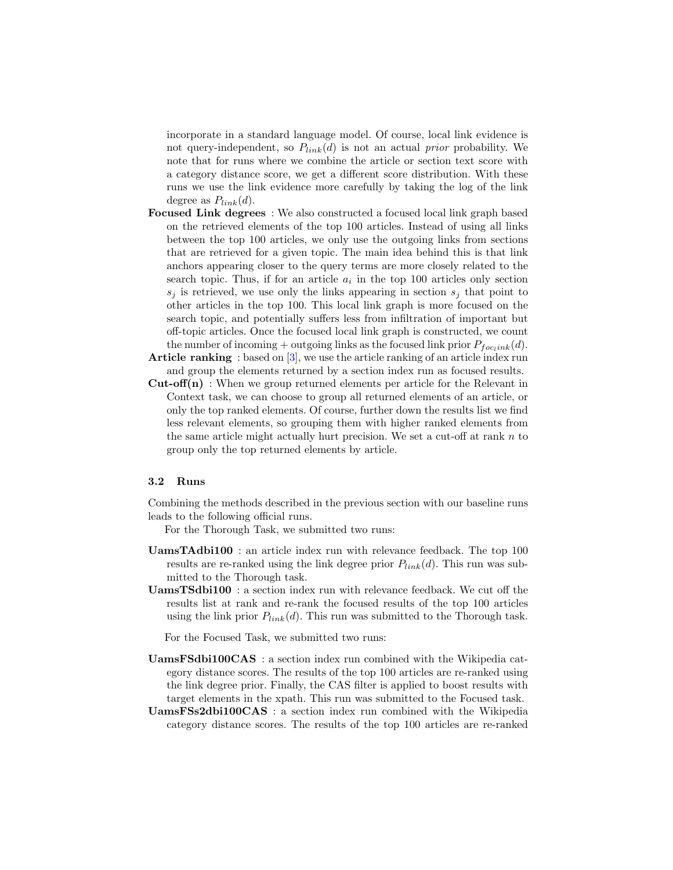incorporate in a standard language model. Of course, local link evidence is not query-independent, so  $P_{link}(d)$  is not an actual *prior* probability. We note that for runs where we combine the article or section text score with a category distance score, we get a different score distribution. With these runs we use the link evidence more carefully by taking the log of the link degree as  $P_{link}(d)$ .

- Focused Link degrees : We also constructed a focused local link graph based on the retrieved elements of the top 100 articles. Instead of using all links between the top 100 articles, we only use the outgoing links from sections that are retrieved for a given topic. The main idea behind this is that link anchors appearing closer to the query terms are more closely related to the search topic. Thus, if for an article  $a_i$  in the top 100 articles only section  $s_j$  is retrieved, we use only the links appearing in section  $s_j$  that point to other articles in the top 100. This local link graph is more focused on the search topic, and potentially suffers less from infiltration of important but off-topic articles. Once the focused local link graph is constructed, we count the number of incoming + outgoing links as the focused link prior  $P_{foc,ink}(d)$ .
- **Article ranking**: based on  $\left[3\right]$ , we use the article ranking of an article index run and group the elements returned by a section index run as focused results.
- $Cut-off(n)$ : When we group returned elements per article for the Relevant in Context task, we can choose to group all returned elements of an article, or only the top ranked elements. Of course, further down the results list we find less relevant elements, so grouping them with higher ranked elements from the same article might actually hurt precision. We set a cut-off at rank  $n$  to group only the top returned elements by article.

## 3.2 Runs

Combining the methods described in the previous section with our baseline runs leads to the following official runs.

For the Thorough Task, we submitted two runs:

- UamsTAdbi100 : an article index run with relevance feedback. The top 100 results are re-ranked using the link degree prior  $P_{link}(d)$ . This run was submitted to the Thorough task.
- UamsTSdbi100 : a section index run with relevance feedback. We cut off the results list at rank and re-rank the focused results of the top 100 articles using the link prior  $P_{link}(d)$ . This run was submitted to the Thorough task.

For the Focused Task, we submitted two runs:

- UamsFSdbi100CAS : a section index run combined with the Wikipedia category distance scores. The results of the top 100 articles are re-ranked using the link degree prior. Finally, the CAS filter is applied to boost results with target elements in the xpath. This run was submitted to the Focused task.
- UamsFSs2dbi100CAS : a section index run combined with the Wikipedia category distance scores. The results of the top 100 articles are re-ranked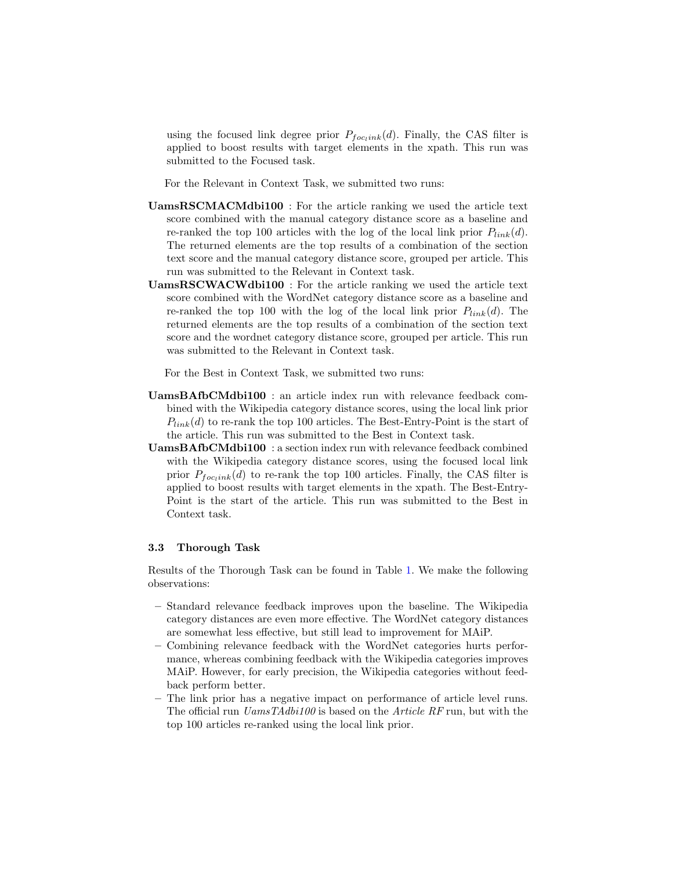using the focused link degree prior  $P_{foclink}(d)$ . Finally, the CAS filter is applied to boost results with target elements in the xpath. This run was submitted to the Focused task.

For the Relevant in Context Task, we submitted two runs:

- UamsRSCMACMdbi100 : For the article ranking we used the article text score combined with the manual category distance score as a baseline and re-ranked the top 100 articles with the log of the local link prior  $P_{link}(d)$ . The returned elements are the top results of a combination of the section text score and the manual category distance score, grouped per article. This run was submitted to the Relevant in Context task.
- UamsRSCWACWdbi100 : For the article ranking we used the article text score combined with the WordNet category distance score as a baseline and re-ranked the top 100 with the log of the local link prior  $P_{link}(d)$ . The returned elements are the top results of a combination of the section text score and the wordnet category distance score, grouped per article. This run was submitted to the Relevant in Context task.

For the Best in Context Task, we submitted two runs:

- UamsBAfbCMdbi100 : an article index run with relevance feedback combined with the Wikipedia category distance scores, using the local link prior  $P_{link}(d)$  to re-rank the top 100 articles. The Best-Entry-Point is the start of the article. This run was submitted to the Best in Context task.
- UamsBAfbCMdbi100 : a section index run with relevance feedback combined with the Wikipedia category distance scores, using the focused local link prior  $P_{focink}(d)$  to re-rank the top 100 articles. Finally, the CAS filter is applied to boost results with target elements in the xpath. The Best-Entry-Point is the start of the article. This run was submitted to the Best in Context task.

#### 3.3 Thorough Task

Results of the Thorough Task can be found in Table [1.](#page-5-0) We make the following observations:

- Standard relevance feedback improves upon the baseline. The Wikipedia category distances are even more effective. The WordNet category distances are somewhat less effective, but still lead to improvement for MAiP.
- Combining relevance feedback with the WordNet categories hurts performance, whereas combining feedback with the Wikipedia categories improves MAiP. However, for early precision, the Wikipedia categories without feedback perform better.
- The link prior has a negative impact on performance of article level runs. The official run  $UamsTAdbi100$  is based on the Article RF run, but with the top 100 articles re-ranked using the local link prior.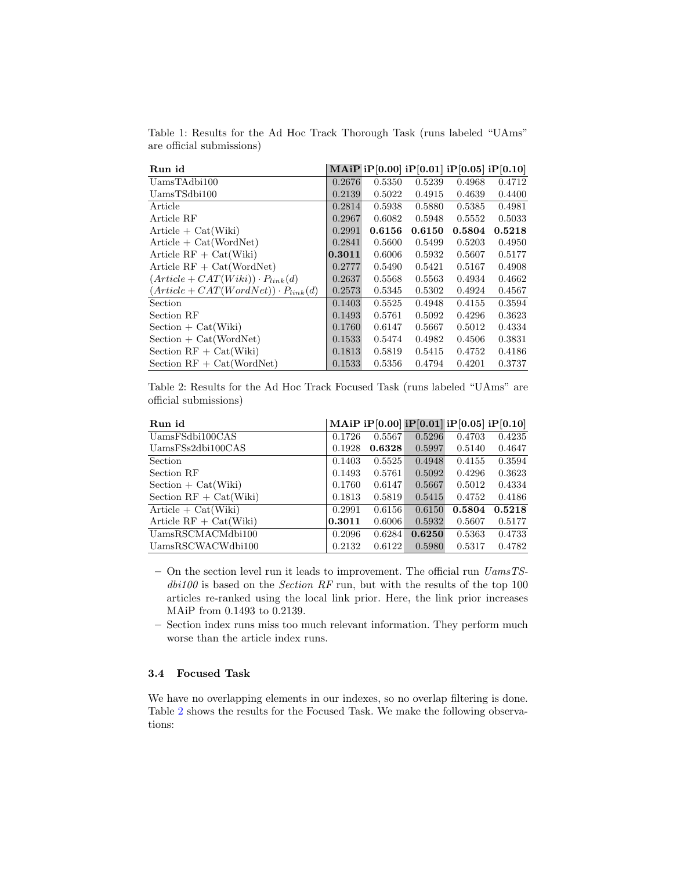<span id="page-5-0"></span>Table 1: Results for the Ad Hoc Track Thorough Task (runs labeled "UAms" are official submissions)

| Run id                                       |        |        | MAiP iP[0.00] iP[0.01] iP[0.05] iP[0.10] |        |        |
|----------------------------------------------|--------|--------|------------------------------------------|--------|--------|
| UamsTAdbi100                                 | 0.2676 | 0.5350 | 0.5239                                   | 0.4968 | 0.4712 |
| UamsTSdbi100                                 | 0.2139 | 0.5022 | 0.4915                                   | 0.4639 | 0.4400 |
| Article                                      | 0.2814 | 0.5938 | 0.5880                                   | 0.5385 | 0.4981 |
| Article RF                                   | 0.2967 | 0.6082 | 0.5948                                   | 0.5552 | 0.5033 |
| $Article + Cat(Wiki)$                        | 0.2991 | 0.6156 | 0.6150                                   | 0.5804 | 0.5218 |
| $Article + Cat(WordNet)$                     | 0.2841 | 0.5600 | 0.5499                                   | 0.5203 | 0.4950 |
| Article $RF + Cat(Wiki)$                     | 0.3011 | 0.6006 | 0.5932                                   | 0.5607 | 0.5177 |
| Article $RF + Cat(WordNet)$                  | 0.2777 | 0.5490 | 0.5421                                   | 0.5167 | 0.4908 |
| $(Article + CAT(Wiki)) \cdot P_{link}(d)$    | 0.2637 | 0.5568 | 0.5563                                   | 0.4934 | 0.4662 |
| $(Article + CAT(WordNet)) \cdot P_{link}(d)$ | 0.2573 | 0.5345 | 0.5302                                   | 0.4924 | 0.4567 |
| Section                                      | 0.1403 | 0.5525 | 0.4948                                   | 0.4155 | 0.3594 |
| Section RF                                   | 0.1493 | 0.5761 | 0.5092                                   | 0.4296 | 0.3623 |
| $Section + Cat(Wiki)$                        | 0.1760 | 0.6147 | 0.5667                                   | 0.5012 | 0.4334 |
| $Section + Cat(WordNet)$                     | 0.1533 | 0.5474 | 0.4982                                   | 0.4506 | 0.3831 |
| Section $RF + Cat(Wiki)$                     | 0.1813 | 0.5819 | 0.5415                                   | 0.4752 | 0.4186 |
| Section $RF + Cat(WordNet)$                  | 0.1533 | 0.5356 | 0.4794                                   | 0.4201 | 0.3737 |

<span id="page-5-1"></span>Table 2: Results for the Ad Hoc Track Focused Task (runs labeled "UAms" are official submissions)

| Run id                   |        |        | MAiP iP $[0.00]$ iP $[0.01]$ iP $[0.05]$ iP $[0.10]$ |        |        |
|--------------------------|--------|--------|------------------------------------------------------|--------|--------|
| UamsFSdbi100CAS          | 0.1726 | 0.5567 | 0.5296                                               | 0.4703 | 0.4235 |
| UamsFSs2dbi100CAS        | 0.1928 | 0.6328 | 0.5997                                               | 0.5140 | 0.4647 |
| Section                  | 0.1403 | 0.5525 | 0.4948                                               | 0.4155 | 0.3594 |
| Section RF               | 0.1493 | 0.5761 | 0.5092                                               | 0.4296 | 0.3623 |
| $Section + Cat(Wiki)$    | 0.1760 | 0.6147 | 0.5667                                               | 0.5012 | 0.4334 |
| Section $RF + Cat(Wiki)$ | 0.1813 | 0.5819 | 0.5415                                               | 0.4752 | 0.4186 |
| $Article + Cat(Wiki)$    | 0.2991 | 0.6156 | 0.6150                                               | 0.5804 | 0.5218 |
| Article $RF + Cat(Wiki)$ | 0.3011 | 0.6006 | 0.5932                                               | 0.5607 | 0.5177 |
| UamsRSCMACMdbi100        | 0.2096 | 0.6284 | 0.6250                                               | 0.5363 | 0.4733 |
| UamsRSCWACWdbi100        | 0.2132 | 0.6122 | 0.5980                                               | 0.5317 | 0.4782 |

- On the section level run it leads to improvement. The official run  $UamsTS$  $dbi100$  is based on the *Section RF* run, but with the results of the top 100 articles re-ranked using the local link prior. Here, the link prior increases MAiP from 0.1493 to 0.2139.
- Section index runs miss too much relevant information. They perform much worse than the article index runs.

## 3.4 Focused Task

We have no overlapping elements in our indexes, so no overlap filtering is done. Table [2](#page-5-1) shows the results for the Focused Task. We make the following observations: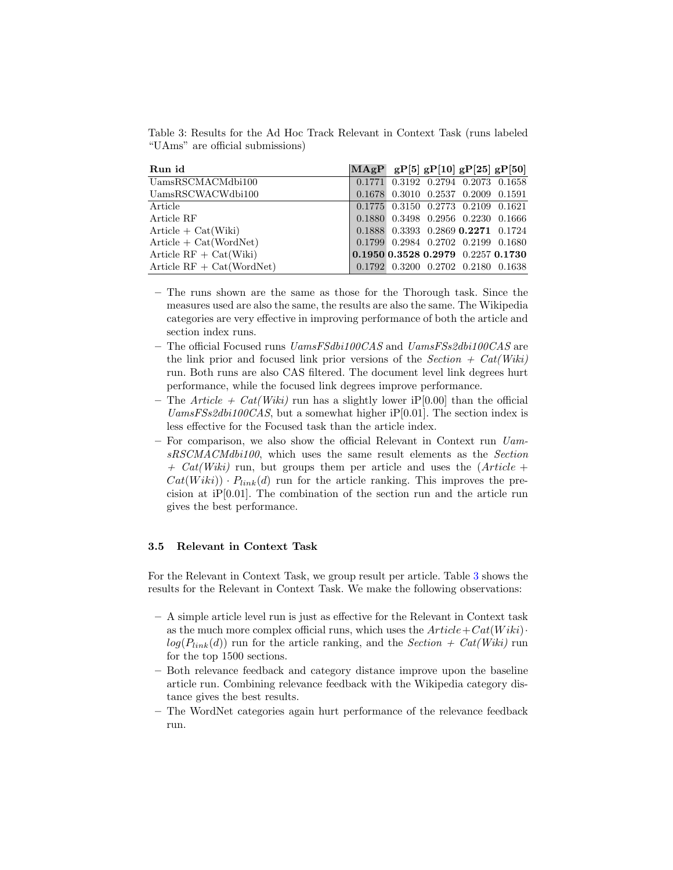<span id="page-6-0"></span>Table 3: Results for the Ad Hoc Track Relevant in Context Task (runs labeled "UAms" are official submissions)

| Run id                      | $MAgP$ gP[5] gP[10] gP[25] gP[50]  |  |                                              |  |
|-----------------------------|------------------------------------|--|----------------------------------------------|--|
| UamsRSCMACMdbi100           |                                    |  | 0.1771 0.3192 0.2794 0.2073 0.1658           |  |
| UamsRSCWACWdbi100           |                                    |  | $0.1678$ $0.3010$ $0.2537$ $0.2009$ $0.1591$ |  |
| Article                     |                                    |  | $0.1775$ $0.3150$ $0.2773$ $0.2109$ $0.1621$ |  |
| Article RF                  |                                    |  | 0.1880 0.3498 0.2956 0.2230 0.1666           |  |
| $Article + Cat(Wiki)$       |                                    |  | $0.1888$ $0.3393$ $0.2869$ $0.2271$ $0.1724$ |  |
| $Article + Cat(WordNet)$    |                                    |  | 0.1799 0.2984 0.2702 0.2199 0.1680           |  |
| Article $RF + Cat(Wiki)$    | 0.1950 0.3528 0.2979 0.2257 0.1730 |  |                                              |  |
| Article $RF + Cat(WordNet)$ |                                    |  | 0.1792 0.3200 0.2702 0.2180 0.1638           |  |

- The runs shown are the same as those for the Thorough task. Since the measures used are also the same, the results are also the same. The Wikipedia categories are very effective in improving performance of both the article and section index runs.
- The official Focused runs  $UamsFSdbi100CAS$  and  $UamsFSs2dbi100CAS$  are the link prior and focused link prior versions of the Section  $+ Cat(Wiki)$ run. Both runs are also CAS filtered. The document level link degrees hurt performance, while the focused link degrees improve performance.
- The Article +  $Cat(Wiki)$  run has a slightly lower iP[0.00] than the official  $UamsFSS2dbi100CAS$ , but a somewhat higher iP[0.01]. The section index is less effective for the Focused task than the article index.
- For comparison, we also show the official Relevant in Context run UamsRSCMACMdbi100, which uses the same result elements as the Section  $+ Cat(Wiki)$  run, but groups them per article and uses the  $(Article +$  $Cat(W iki) \cdot P_{link}(d)$  run for the article ranking. This improves the precision at iP[0.01]. The combination of the section run and the article run gives the best performance.

## 3.5 Relevant in Context Task

For the Relevant in Context Task, we group result per article. Table [3](#page-6-0) shows the results for the Relevant in Context Task. We make the following observations:

- A simple article level run is just as effective for the Relevant in Context task as the much more complex official runs, which uses the  $Article + Cat(W iki) \cdot$  $log(P_{link}(d))$  run for the article ranking, and the Section + Cat(Wiki) run for the top 1500 sections.
- Both relevance feedback and category distance improve upon the baseline article run. Combining relevance feedback with the Wikipedia category distance gives the best results.
- The WordNet categories again hurt performance of the relevance feedback run.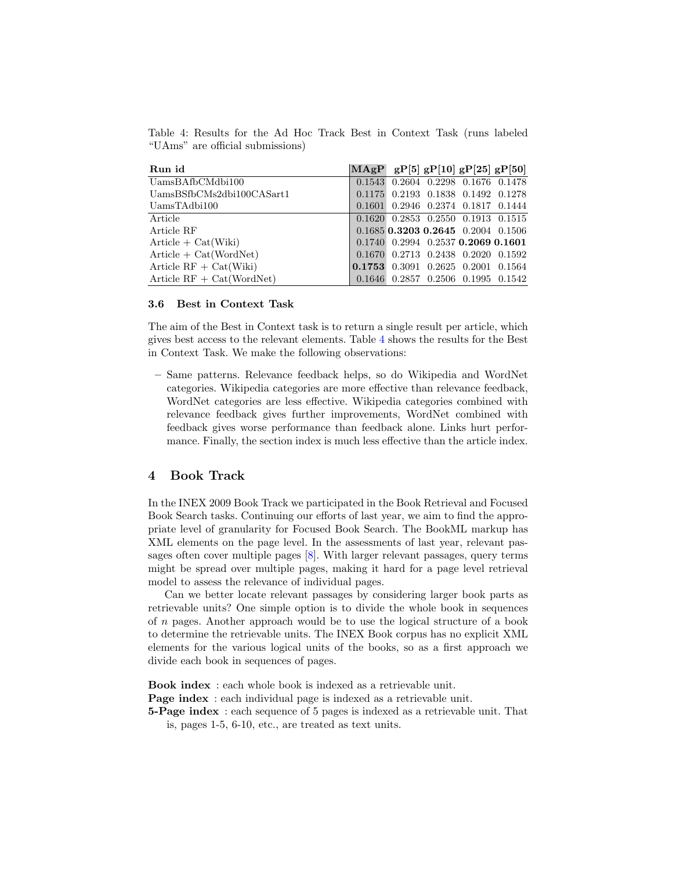<span id="page-7-1"></span>Table 4: Results for the Ad Hoc Track Best in Context Task (runs labeled "UAms" are official submissions)

| Run id                      | $MAgP$ gP[5] gP[10] gP[25] gP[50]            |  |                                              |  |
|-----------------------------|----------------------------------------------|--|----------------------------------------------|--|
| UamsBAfbCMdbi100            |                                              |  | 0.1543 0.2604 0.2298 0.1676 0.1478           |  |
| UamsBSfbCMs2dbi100CASart1   |                                              |  | 0.1175 0.2193 0.1838 0.1492 0.1278           |  |
| UamsTAdbi100                |                                              |  | 0.1601 0.2946 0.2374 0.1817 0.1444           |  |
| Article                     |                                              |  | $0.1620$ $0.2853$ $0.2550$ $0.1913$ $0.1515$ |  |
| Article RF                  |                                              |  | $0.1685$ 0.3203 0.2645 0.2004 0.1506         |  |
| $Article + Cat(Wiki)$       |                                              |  | $0.1740$ $0.2994$ $0.2537$ $0.2069$ $0.1601$ |  |
| $Article + Cat(WordNet)$    |                                              |  | $0.1670$ $0.2713$ $0.2438$ $0.2020$ $0.1592$ |  |
| Article $RF + Cat(Wiki)$    | $0.1753$ $0.3091$ $0.2625$ $0.2001$ $0.1564$ |  |                                              |  |
| Article $RF + Cat(WordNet)$ |                                              |  | 0.1646 0.2857 0.2506 0.1995 0.1542           |  |

#### 3.6 Best in Context Task

The aim of the Best in Context task is to return a single result per article, which gives best access to the relevant elements. Table [4](#page-7-1) shows the results for the Best in Context Task. We make the following observations:

– Same patterns. Relevance feedback helps, so do Wikipedia and WordNet categories. Wikipedia categories are more effective than relevance feedback, WordNet categories are less effective. Wikipedia categories combined with relevance feedback gives further improvements, WordNet combined with feedback gives worse performance than feedback alone. Links hurt performance. Finally, the section index is much less effective than the article index.

## <span id="page-7-0"></span>4 Book Track

In the INEX 2009 Book Track we participated in the Book Retrieval and Focused Book Search tasks. Continuing our efforts of last year, we aim to find the appropriate level of granularity for Focused Book Search. The BookML markup has XML elements on the page level. In the assessments of last year, relevant passages often cover multiple pages [\[8\]](#page-12-8). With larger relevant passages, query terms might be spread over multiple pages, making it hard for a page level retrieval model to assess the relevance of individual pages.

Can we better locate relevant passages by considering larger book parts as retrievable units? One simple option is to divide the whole book in sequences of n pages. Another approach would be to use the logical structure of a book to determine the retrievable units. The INEX Book corpus has no explicit XML elements for the various logical units of the books, so as a first approach we divide each book in sequences of pages.

Book index : each whole book is indexed as a retrievable unit.

Page index : each individual page is indexed as a retrievable unit.

5-Page index : each sequence of 5 pages is indexed as a retrievable unit. That is, pages 1-5, 6-10, etc., are treated as text units.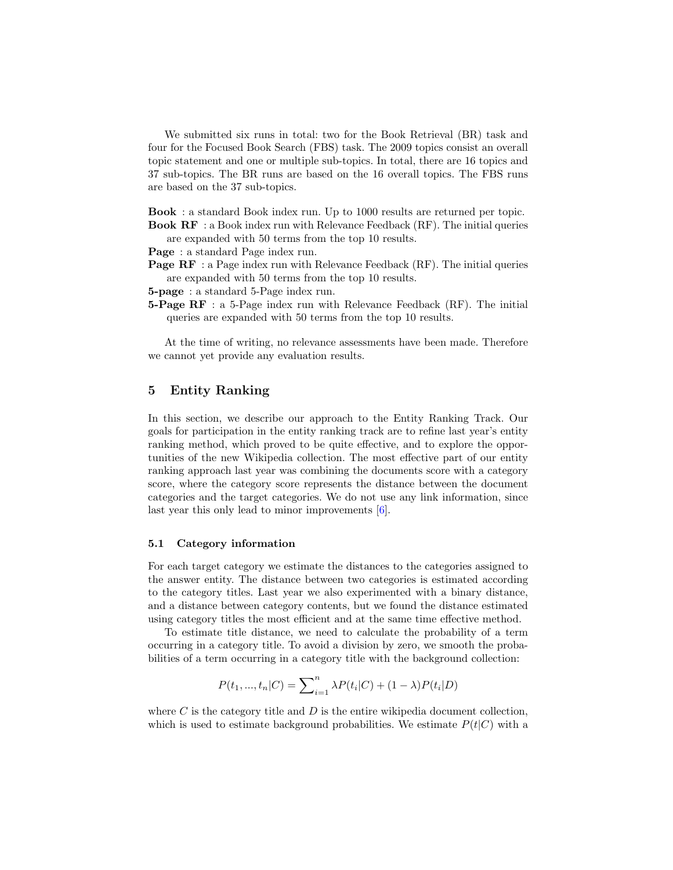We submitted six runs in total: two for the Book Retrieval (BR) task and four for the Focused Book Search (FBS) task. The 2009 topics consist an overall topic statement and one or multiple sub-topics. In total, there are 16 topics and 37 sub-topics. The BR runs are based on the 16 overall topics. The FBS runs are based on the 37 sub-topics.

Book : a standard Book index run. Up to 1000 results are returned per topic.

**Book RF**: a Book index run with Relevance Feedback  $(RF)$ . The initial queries are expanded with 50 terms from the top 10 results.

Page : a standard Page index run.

Page RF : a Page index run with Relevance Feedback (RF). The initial queries are expanded with 50 terms from the top 10 results.

5-page : a standard 5-Page index run.

5-Page RF : a 5-Page index run with Relevance Feedback (RF). The initial queries are expanded with 50 terms from the top 10 results.

At the time of writing, no relevance assessments have been made. Therefore we cannot yet provide any evaluation results.

## <span id="page-8-0"></span>5 Entity Ranking

In this section, we describe our approach to the Entity Ranking Track. Our goals for participation in the entity ranking track are to refine last year's entity ranking method, which proved to be quite effective, and to explore the opportunities of the new Wikipedia collection. The most effective part of our entity ranking approach last year was combining the documents score with a category score, where the category score represents the distance between the document categories and the target categories. We do not use any link information, since last year this only lead to minor improvements [\[6\]](#page-12-9).

## 5.1 Category information

For each target category we estimate the distances to the categories assigned to the answer entity. The distance between two categories is estimated according to the category titles. Last year we also experimented with a binary distance, and a distance between category contents, but we found the distance estimated using category titles the most efficient and at the same time effective method.

To estimate title distance, we need to calculate the probability of a term occurring in a category title. To avoid a division by zero, we smooth the probabilities of a term occurring in a category title with the background collection:

$$
P(t_1, ..., t_n | C) = \sum_{i=1}^{n} \lambda P(t_i | C) + (1 - \lambda) P(t_i | D)
$$

where  $C$  is the category title and  $D$  is the entire wikipedia document collection, which is used to estimate background probabilities. We estimate  $P(t|C)$  with a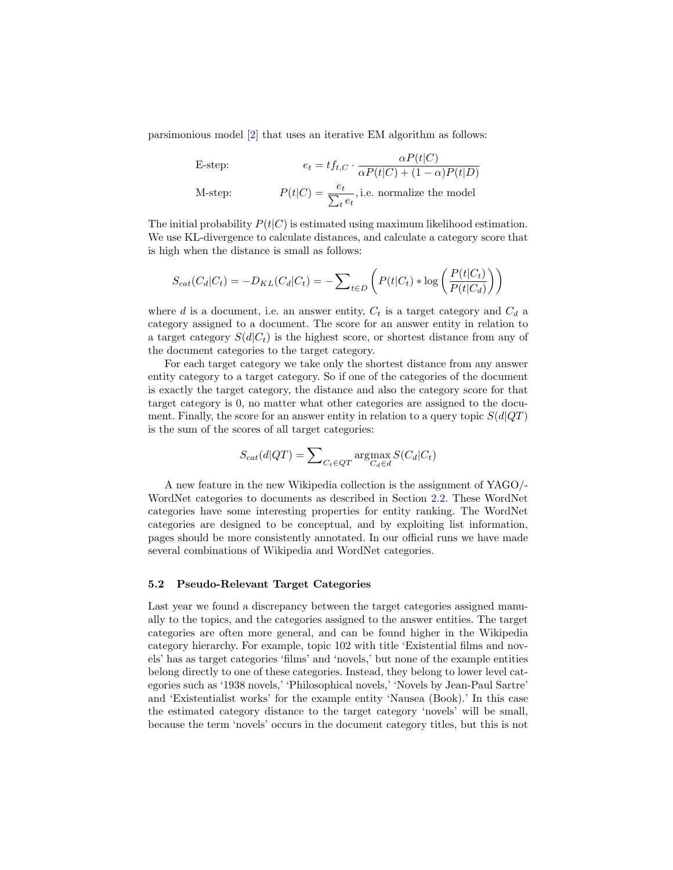parsimonious model [\[2\]](#page-11-4) that uses an iterative EM algorithm as follows:

E-step:  
\n
$$
e_t = tf_{t,C} \cdot \frac{\alpha P(t|C)}{\alpha P(t|C) + (1-\alpha)P(t|D)}
$$
\n
$$
P(t|C) = \frac{e_t}{\sum_t e_t}, \text{i.e. normalize the model}
$$

The initial probability  $P(t|C)$  is estimated using maximum likelihood estimation. We use KL-divergence to calculate distances, and calculate a category score that is high when the distance is small as follows:

$$
S_{cat}(C_d|C_t) = -D_{KL}(C_d|C_t) = -\sum_{t \in D} \left( P(t|C_t) * \log \left( \frac{P(t|C_t)}{P(t|C_d)} \right) \right)
$$

where  $d$  is a document, i.e. an answer entity,  $C_t$  is a target category and  $C_d$  a category assigned to a document. The score for an answer entity in relation to a target category  $S(d|C_t)$  is the highest score, or shortest distance from any of the document categories to the target category.

For each target category we take only the shortest distance from any answer entity category to a target category. So if one of the categories of the document is exactly the target category, the distance and also the category score for that target category is 0, no matter what other categories are assigned to the document. Finally, the score for an answer entity in relation to a query topic  $S(d|QT)$ is the sum of the scores of all target categories:

$$
S_{cat}(d|QT) = \sum\nolimits_{C_t \in QT} \mathop{\arg\!\max}_{C_d \in d} S(C_d|C_t)
$$

A new feature in the new Wikipedia collection is the assignment of YAGO/- WordNet categories to documents as described in Section [2.2.](#page-1-1) These WordNet categories have some interesting properties for entity ranking. The WordNet categories are designed to be conceptual, and by exploiting list information, pages should be more consistently annotated. In our official runs we have made several combinations of Wikipedia and WordNet categories.

#### 5.2 Pseudo-Relevant Target Categories

Last year we found a discrepancy between the target categories assigned manually to the topics, and the categories assigned to the answer entities. The target categories are often more general, and can be found higher in the Wikipedia category hierarchy. For example, topic 102 with title 'Existential films and novels' has as target categories 'films' and 'novels,' but none of the example entities belong directly to one of these categories. Instead, they belong to lower level categories such as '1938 novels,' 'Philosophical novels,' 'Novels by Jean-Paul Sartre' and 'Existentialist works' for the example entity 'Nausea (Book).' In this case the estimated category distance to the target category 'novels' will be small, because the term 'novels' occurs in the document category titles, but this is not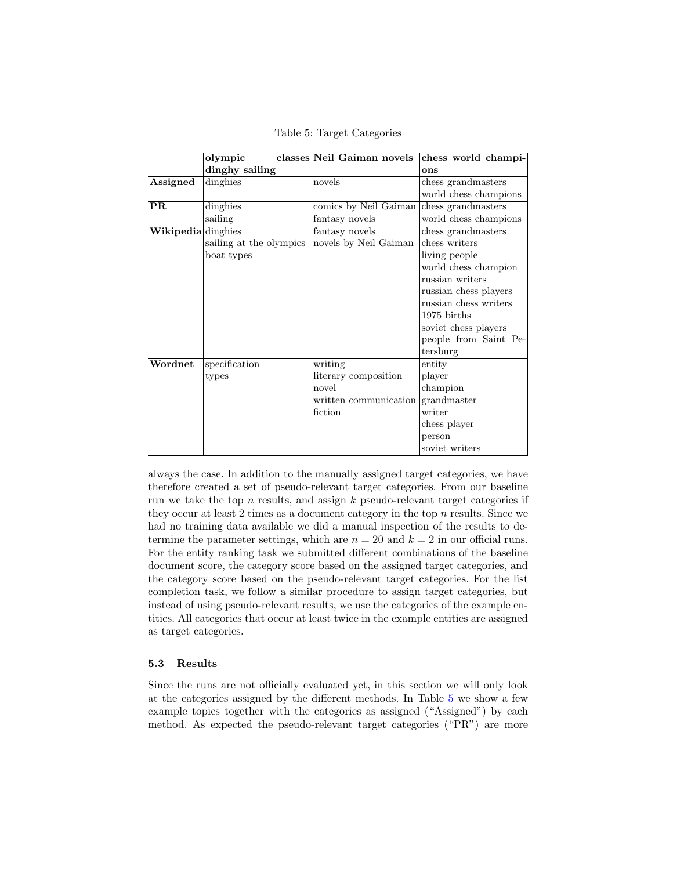<span id="page-10-0"></span>

|  |  | Table 5: Target Categories |
|--|--|----------------------------|
|--|--|----------------------------|

|                           | olympic                 | classes Neil Gaiman novels               | chess world champi-   |
|---------------------------|-------------------------|------------------------------------------|-----------------------|
|                           | dinghy sailing          |                                          | ons                   |
| Assigned                  | dinghies                | novels                                   | chess grandmasters    |
|                           |                         |                                          | world chess champions |
| PR                        | dinghies                | comics by Neil Gaiman chess grandmasters |                       |
|                           | sailing                 | fantasy novels                           | world chess champions |
| <b>Wikipedia</b> dinghies |                         | fantasy novels                           | chess grandmasters    |
|                           | sailing at the olympics | novels by Neil Gaiman                    | chess writers         |
|                           | boat types              |                                          | living people         |
|                           |                         |                                          | world chess champion  |
|                           |                         |                                          | russian writers       |
|                           |                         |                                          | russian chess players |
|                           |                         |                                          | russian chess writers |
|                           |                         |                                          | $1975$ births         |
|                           |                         |                                          | soviet chess players  |
|                           |                         |                                          | people from Saint Pe- |
|                           |                         |                                          | tersburg              |
| Wordnet                   | specification           | writing                                  | entity                |
|                           | types                   | literary composition                     | player                |
|                           |                         | novel                                    | champion              |
|                           |                         | written communication                    | grandmaster           |
|                           |                         | fiction                                  | writer                |
|                           |                         |                                          | chess player          |
|                           |                         |                                          | person                |
|                           |                         |                                          | soviet writers        |

always the case. In addition to the manually assigned target categories, we have therefore created a set of pseudo-relevant target categories. From our baseline run we take the top  $n$  results, and assign  $k$  pseudo-relevant target categories if they occur at least 2 times as a document category in the top  $n$  results. Since we had no training data available we did a manual inspection of the results to determine the parameter settings, which are  $n = 20$  and  $k = 2$  in our official runs. For the entity ranking task we submitted different combinations of the baseline document score, the category score based on the assigned target categories, and the category score based on the pseudo-relevant target categories. For the list completion task, we follow a similar procedure to assign target categories, but instead of using pseudo-relevant results, we use the categories of the example entities. All categories that occur at least twice in the example entities are assigned as target categories.

## 5.3 Results

Since the runs are not officially evaluated yet, in this section we will only look at the categories assigned by the different methods. In Table [5](#page-10-0) we show a few example topics together with the categories as assigned ("Assigned") by each method. As expected the pseudo-relevant target categories ("PR") are more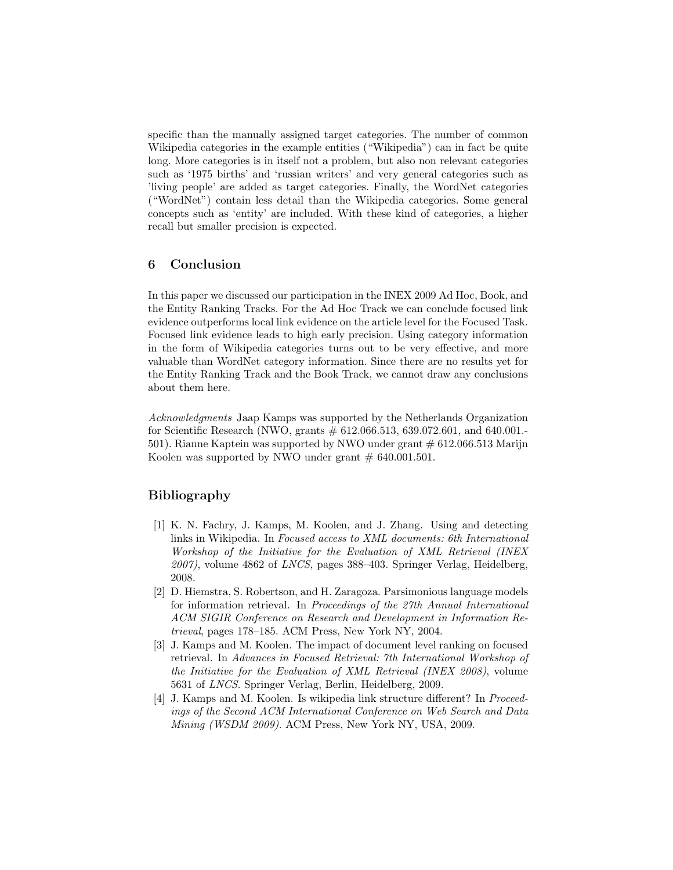specific than the manually assigned target categories. The number of common Wikipedia categories in the example entities ("Wikipedia") can in fact be quite long. More categories is in itself not a problem, but also non relevant categories such as '1975 births' and 'russian writers' and very general categories such as 'living people' are added as target categories. Finally, the WordNet categories ("WordNet") contain less detail than the Wikipedia categories. Some general concepts such as 'entity' are included. With these kind of categories, a higher recall but smaller precision is expected.

## <span id="page-11-0"></span>6 Conclusion

In this paper we discussed our participation in the INEX 2009 Ad Hoc, Book, and the Entity Ranking Tracks. For the Ad Hoc Track we can conclude focused link evidence outperforms local link evidence on the article level for the Focused Task. Focused link evidence leads to high early precision. Using category information in the form of Wikipedia categories turns out to be very effective, and more valuable than WordNet category information. Since there are no results yet for the Entity Ranking Track and the Book Track, we cannot draw any conclusions about them here.

Acknowledgments Jaap Kamps was supported by the Netherlands Organization for Scientific Research (NWO, grants  $\#$  612.066.513, 639.072.601, and 640.001. 501). Rianne Kaptein was supported by NWO under grant # 612.066.513 Marijn Koolen was supported by NWO under grant  $# 640.001.501$ .

# Bibliography

- <span id="page-11-1"></span>[1] K. N. Fachry, J. Kamps, M. Koolen, and J. Zhang. Using and detecting links in Wikipedia. In Focused access to XML documents: 6th International Workshop of the Initiative for the Evaluation of XML Retrieval (INEX  $2007$ , volume 4862 of *LNCS*, pages 388–403. Springer Verlag, Heidelberg, 2008.
- <span id="page-11-4"></span>[2] D. Hiemstra, S. Robertson, and H. Zaragoza. Parsimonious language models for information retrieval. In Proceedings of the 27th Annual International ACM SIGIR Conference on Research and Development in Information Retrieval, pages 178–185. ACM Press, New York NY, 2004.
- <span id="page-11-2"></span>[3] J. Kamps and M. Koolen. The impact of document level ranking on focused retrieval. In Advances in Focused Retrieval: 7th International Workshop of the Initiative for the Evaluation of XML Retrieval (INEX 2008), volume 5631 of LNCS. Springer Verlag, Berlin, Heidelberg, 2009.
- <span id="page-11-3"></span>[4] J. Kamps and M. Koolen. Is wikipedia link structure different? In Proceedings of the Second ACM International Conference on Web Search and Data Mining (WSDM 2009). ACM Press, New York NY, USA, 2009.